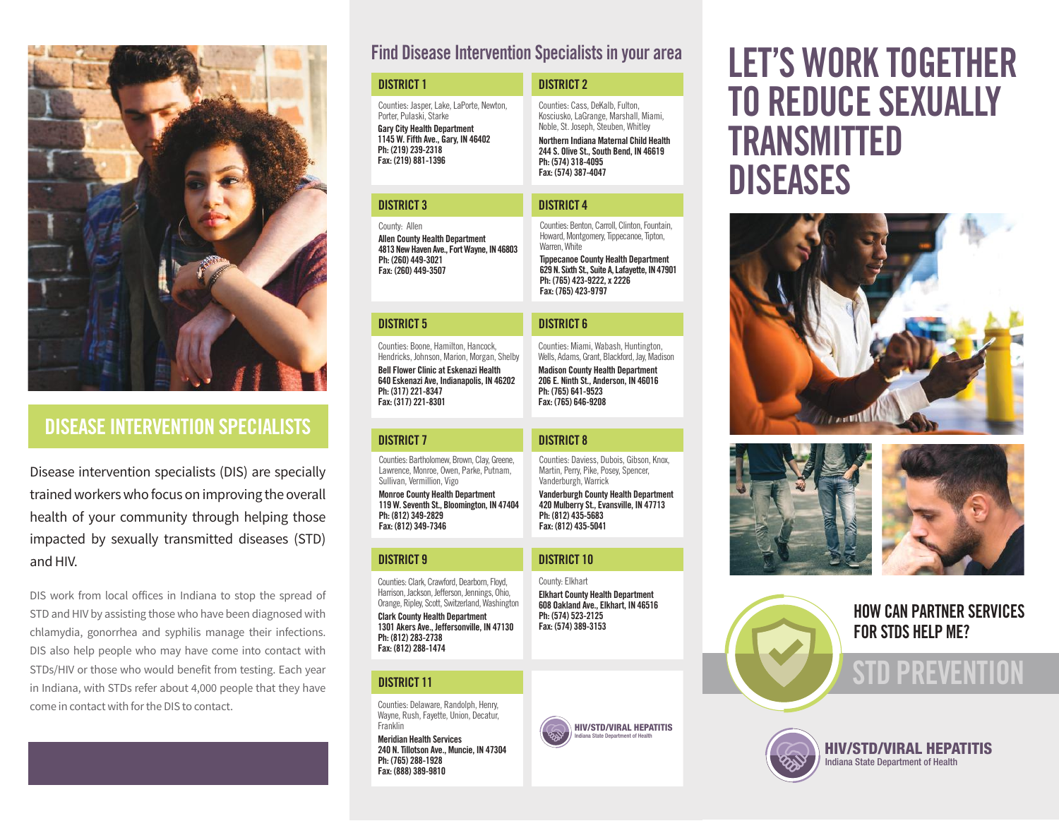

## DISEASE INTERVENTION SPECIALISTS

Disease intervention specialists (DIS) are specially trained workers who focus on improving the overall health of your community through helping those impacted by sexually transmitted diseases (STD) and HIV.

DIS work from local offices in Indiana to stop the spread of STD and HIV by assisting those who have been diagnosed with chlamydia, gonorrhea and syphilis manage their infections. DIS also help people who may have come into contact with STDs/HIV or those who would benefit from testing. Each year in Indiana, with STDs refer about 4,000 people that they have come in contact with for the DIS to contact.

### Find Disease Intervention Specialists in your area

| <b>DISTRICT 1</b>                                                                                                                                                                                   | <b>DISTRICT 2</b>                                                                                                                                                                                                                                              |
|-----------------------------------------------------------------------------------------------------------------------------------------------------------------------------------------------------|----------------------------------------------------------------------------------------------------------------------------------------------------------------------------------------------------------------------------------------------------------------|
| Counties: Jasper, Lake, LaPorte, Newton,<br>Porter, Pulaski, Starke<br><b>Gary City Health Department</b><br>1145 W. Fifth Ave., Gary, IN 46402<br>Ph: (219) 239-2318<br>Fax: (219) 881-1396        | Counties: Cass, DeKalb, Fulton,<br>Kosciusko, LaGrange, Marshall, Miami,<br>Noble, St. Joseph, Steuben, Whitley<br>Northern Indiana Maternal Child Health<br>244 S. Olive St., South Bend, IN 46619<br>Ph: (574) 318-4095<br>Fax: (574) 387-4047               |
| <b>DISTRICT 3</b>                                                                                                                                                                                   | <b>DISTRICT 4</b>                                                                                                                                                                                                                                              |
| County: Allen<br><b>Allen County Health Department</b><br>4813 New Haven Ave., Fort Wayne, IN 46803<br>Ph: (260) 449-3021<br>Fax: (260) 449-3507                                                    | Counties: Benton, Carroll, Clinton, Fountain,<br>Howard, Montgomery, Tippecanoe, Tipton,<br>Warren. White<br><b>Tippecanoe County Health Department</b><br>629 N. Sixth St., Suite A, Lafayette, IN 47901<br>Ph: (765) 423-9222, x 2226<br>Fax: (765) 423-9797 |
|                                                                                                                                                                                                     |                                                                                                                                                                                                                                                                |
| <b>DISTRICT 5</b>                                                                                                                                                                                   | <b>DISTRICT 6</b>                                                                                                                                                                                                                                              |
| Counties: Boone, Hamilton, Hancock,<br>Hendricks, Johnson, Marion, Morgan, Shelby<br><b>Bell Flower Clinic at Eskenazi Health</b><br>640 Eskenazi Ave, Indianapolis, IN 46202<br>Ph: (317) 221-8347 | Counties: Miami, Wabash, Huntington,<br>Wells, Adams, Grant, Blackford, Jay, Madison<br><b>Madison County Health Department</b><br>206 E. Ninth St., Anderson, IN 46016<br>Ph: (765) 641-9523                                                                  |

Counties: Daviess, Dubois, Gibson, Knox, Martin, Perry, Pike, Posey, Spencer, Vanderburgh, Warrick

Vanderburgh County Health Department 420 Mulberry St., Evansville, IN 47713

Elkhart County Health Department 608 Oakland Ave., Elkhart, IN 46516

> HIV/STD/VIRAL HEPATITIS Indiana State Department of Health

Ph: (812) 435-5683 Fax: (812) 435-5041

Fax: (765) 646-9208

County: Elkhart

Ph: (574) 523-2125 Fax: (574) 389-3153

#### DISTRICT 7 DISTRICT 8

Fax: (317) 221-8301

Counties: Bartholomew, Brown, Clay, Greene, Lawrence, Monroe, Owen, Parke, Putnam, Sullivan, Vermillion, Vigo

Monroe County Health Department 119 W. Seventh St., Bloomington, IN 47404 Ph: (812) 349-2829 Fax: (812) 349-7346

#### DISTRICT 9 DISTRICT 10

Counties: Clark, Crawford, Dearborn, Floyd, Harrison, Jackson, Jefferson, Jennings, Ohio, Orange, Ripley, Scott, Switzerland, Washington

Clark County Health Department 1301 Akers Ave., Jeffersonville, IN 47130 Ph: (812) 283-2738 Fax: (812) 288-1474

#### DISTRICT 11

Fax: (888) 389-9810

Counties: Delaware, Randolph, Henry, Wayne, Rush, Fayette, Union, Decatur, **Franklin** Meridian Health Services 240 N. Tillotson Ave., Muncie, IN 47304 Ph: (765) 288-1928

# LET'S WORK TOGETHER TO REDUCE SEXUALLY TRANSMITTED DISEASES







HOW CAN PARTNER SERVICES FOR STDS HELP ME?

## STD PREVENTION